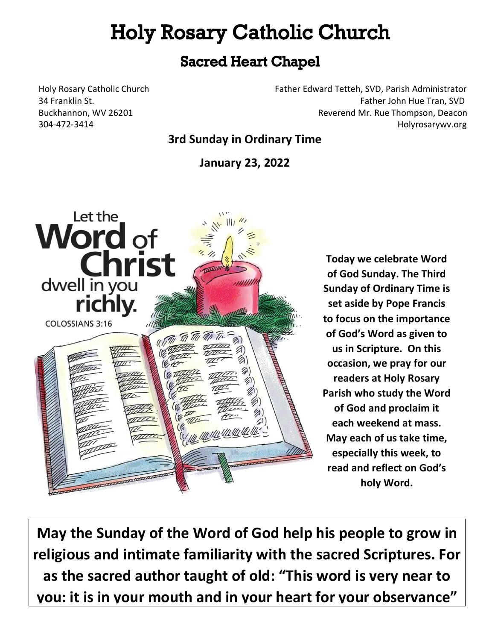# **Holy Rosary Catholic Church**

### **Sacred Heart Chapel**

Holy Rosary Catholic Church Father Edward Tetteh, SVD, Parish Administrator 34 Franklin St. Father John Hue Tran, SVD Buckhannon, WV 26201 Reverend Mr. Rue Thompson, Deacon 304-472-3414 Holyrosarywv.org

### **3rd Sunday in Ordinary Time**

**January 23, 2022**



**Today we celebrate Word of God Sunday. The Third Sunday of Ordinary Time is set aside by Pope Francis to focus on the importance of God's Word as given to us in Scripture. On this occasion, we pray for our readers at Holy Rosary Parish who study the Word of God and proclaim it each weekend at mass. May each of us take time, especially this week, to read and reflect on God's holy Word.**

**May the Sunday of the Word of God help his people to grow in religious and intimate familiarity with the sacred Scriptures. For as the sacred author taught of old: "This word is very near to you: it is in your mouth and in your heart for your observance"**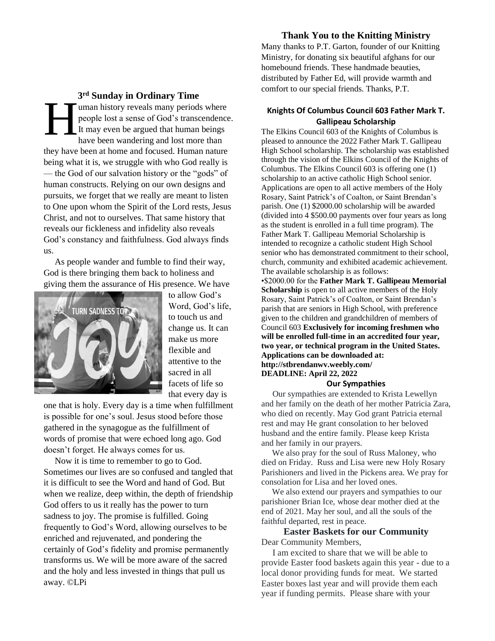**3 rd Sunday in Ordinary Time** uman history reveals many periods where people lost a sense of God's transcendence. It may even be argued that human beings have been wandering and lost more than they have been at home and focused. Human nature being what it is, we struggle with who God really is — the God of our salvation history or the "gods" of human constructs. Relying on our own designs and pursuits, we forget that we really are meant to listen to One upon whom the Spirit of the Lord rests, Jesus Christ, and not to ourselves. That same history that reveals our fickleness and infidelity also reveals God's constancy and faithfulness. God always finds us. H

 As people wander and fumble to find their way, God is there bringing them back to holiness and giving them the assurance of His presence. We have



to allow God's Word, God's life, to touch us and change us. It can make us more flexible and attentive to the sacred in all facets of life so that every day is

one that is holy. Every day is a time when fulfillment is possible for one's soul. Jesus stood before those gathered in the synagogue as the fulfillment of words of promise that were echoed long ago. God doesn't forget. He always comes for us.

 Now it is time to remember to go to God. Sometimes our lives are so confused and tangled that it is difficult to see the Word and hand of God. But when we realize, deep within, the depth of friendship God offers to us it really has the power to turn sadness to joy. The promise is fulfilled. Going frequently to God's Word, allowing ourselves to be enriched and rejuvenated, and pondering the certainly of God's fidelity and promise permanently transforms us. We will be more aware of the sacred and the holy and less invested in things that pull us away. ©LPi

#### **Thank You to the Knitting Ministry**

Many thanks to P.T. Garton, founder of our Knitting Ministry, for donating six beautiful afghans for our homebound friends. These handmade beauties, distributed by Father Ed, will provide warmth and comfort to our special friends. Thanks, P.T.

#### **Knights Of Columbus Council 603 Father Mark T. Gallipeau Scholarship**

The Elkins Council 603 of the Knights of Columbus is pleased to announce the 2022 Father Mark T. Gallipeau High School scholarship. The scholarship was established through the vision of the Elkins Council of the Knights of Columbus. The Elkins Council 603 is offering one (1) scholarship to an active catholic High School senior. Applications are open to all active members of the Holy Rosary, Saint Patrick's of Coalton, or Saint Brendan's parish. One (1) \$2000.00 scholarship will be awarded (divided into 4 \$500.00 payments over four years as long as the student is enrolled in a full time program). The Father Mark T. Gallipeau Memorial Scholarship is intended to recognize a catholic student High School senior who has demonstrated commitment to their school, church, community and exhibited academic achievement. The available scholarship is as follows:

•\$2000.00 for the **Father Mark T. Gallipeau Memorial Scholarship** is open to all active members of the Holy Rosary, Saint Patrick's of Coalton, or Saint Brendan's parish that are seniors in High School, with preference given to the children and grandchildren of members of Council 603 **Exclusively for incoming freshmen who will be enrolled full-time in an accredited four year, two year, or technical program in the United States. Applications can be downloaded at: http://stbrendanwv.weebly.com/ DEADLINE: April 22, 2022**

#### **Our Sympathies**

 Our sympathies are extended to Krista Lewellyn and her family on the death of her mother Patricia Zara, who died on recently. May God grant Patricia eternal rest and may He grant consolation to her beloved husband and the entire family. Please keep Krista and her family in our prayers.

We also pray for the soul of Russ Maloney, who died on Friday. Russ and Lisa were new Holy Rosary Parishioners and lived in the Pickens area. We pray for consolation for Lisa and her loved ones.

 We also extend our prayers and sympathies to our parishioner Brian Ice, whose dear mother died at the end of 2021. May her soul, and all the souls of the faithful departed, rest in peace.

**Easter Baskets for our Community** Dear Community Members,

 I am excited to share that we will be able to provide Easter food baskets again this year - due to a local donor providing funds for meat. We started Easter boxes last year and will provide them each year if funding permits. Please share with your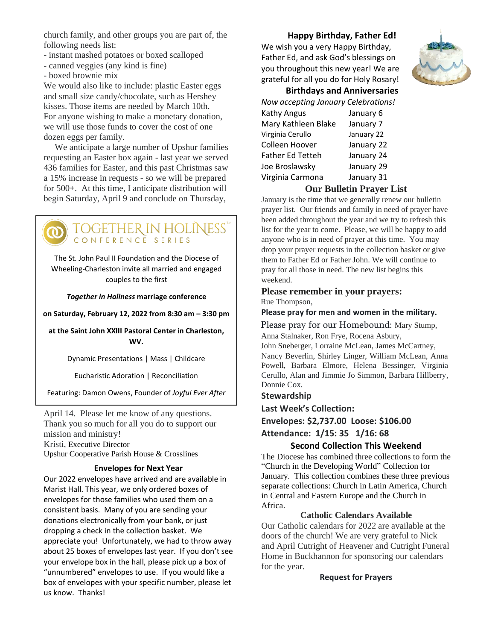church family, and other groups you are part of, the following needs list:

- instant mashed potatoes or boxed scalloped
- canned veggies (any kind is fine)
- boxed brownie mix

We would also like to include: plastic Easter eggs and small size candy/chocolate, such as Hershey kisses. Those items are needed by March 10th. For anyone wishing to make a monetary donation, we will use those funds to cover the cost of one dozen eggs per family.

 We anticipate a large number of Upshur families requesting an Easter box again - last year we served 436 families for Easter, and this past Christmas saw a 15% increase in requests - so we will be prepared for 500+. At this time, I anticipate distribution will begin Saturday, April 9 and conclude on Thursday,

TOGETHER IN HOL<br>CONFERENCE SERIES

The St. John Paul II Foundation and the Diocese of Wheeling-Charleston invite all married and engaged couples to the first

*Together in Holiness* **marriage conference**

**on Saturday, February 12, 2022 from 8:30 am – 3:30 pm**

**at the Saint John XXIII Pastoral Center in Charleston, WV.**

Dynamic Presentations | Mass | Childcare

Eucharistic Adoration | Reconciliation

Featuring: Damon Owens, Founder of *Joyful Ever After*

April 14. Please let me know of any questions. Thank you so much for all you do to support our mission and ministry! Kristi, Executive Director Upshur Cooperative Parish House & Crosslines

### **Envelopes for Next Year**

Our 2022 envelopes have arrived and are available in Marist Hall. This year, we only ordered boxes of envelopes for those families who used them on a consistent basis. Many of you are sending your donations electronically from your bank, or just dropping a check in the collection basket. We appreciate you! Unfortunately, we had to throw away about 25 boxes of envelopes last year. If you don't see your envelope box in the hall, please pick up a box of "unnumbered" envelopes to use. If you would like a box of envelopes with your specific number, please let us know. Thanks!

#### **Happy Birthday, Father Ed!**

We wish you a very Happy Birthday, Father Ed, and ask God's blessings on you throughout this new year! We are grateful for all you do for Holy Rosary!



#### **Birthdays and Anniversaries**

| Now accepting January Celebrations! |            |  |  |
|-------------------------------------|------------|--|--|
| <b>Kathy Angus</b>                  | January 6  |  |  |
| Mary Kathleen Blake                 | January 7  |  |  |
| Virginia Cerullo                    | January 22 |  |  |
| Colleen Hoover                      | January 22 |  |  |
| <b>Father Ed Tetteh</b>             | January 24 |  |  |
| Joe Broslawsky                      | January 29 |  |  |
| Virginia Carmona                    | January 31 |  |  |
|                                     |            |  |  |

#### **Our Bulletin Prayer List**

January is the time that we generally renew our bulletin prayer list. Our friends and family in need of prayer have been added throughout the year and we try to refresh this list for the year to come. Please, we will be happy to add anyone who is in need of prayer at this time. You may drop your prayer requests in the collection basket or give them to Father Ed or Father John. We will continue to pray for all those in need. The new list begins this weekend.

#### **Please remember in your prayers:**  Rue Thompson,

#### **Please pray for men and women in the military.**

Please pray for our Homebound: Mary Stump,

Anna Stalnaker, Ron Frye, Rocena Asbury,

John Sneberger, Lorraine McLean, James McCartney, Nancy Beverlin, Shirley Linger, William McLean, Anna Powell, Barbara Elmore, Helena Bessinger, Virginia Cerullo, Alan and Jimmie Jo Simmon, Barbara Hillberry, Donnie Cox.

#### **Stewardship**

**Last Week's Collection:**

**Envelopes: \$2,737.00 Loose: \$106.00 Attendance: 1/15: 35 1/16: 68**

#### **Second Collection This Weekend**

The Diocese has combined three collections to form the "Church in the Developing World" Collection for January. This collection combines these three previous separate collections: Church in Latin America, Church in Central and Eastern Europe and the Church in Africa.

#### **Catholic Calendars Available**

Our Catholic calendars for 2022 are available at the doors of the church! We are very grateful to Nick and April Cutright of Heavener and Cutright Funeral Home in Buckhannon for sponsoring our calendars for the year.

#### **Request for Prayers**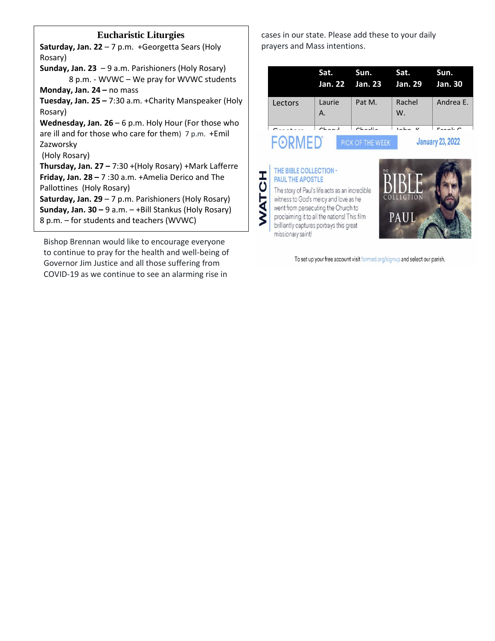#### **Eucharistic Liturgies**

**Saturday, Jan. 22** – 7 p.m. +Georgetta Sears (Holy Rosary)

**Sunday, Jan. 23** – 9 a.m. Parishioners (Holy Rosary) 8 p.m. - WVWC – We pray for WVWC students **Monday, Jan. 24 –** no mass

**Tuesday, Jan. 25 –** 7:30 a.m. +Charity Manspeaker (Holy Rosary)

**Wednesday, Jan. 26** – 6 p.m. Holy Hour (For those who are ill and for those who care for them) 7 p.m. +Emil Zazworsky

(Holy Rosary)

**Thursday, Jan. 27 –** 7:30 +(Holy Rosary) +Mark Lafferre **Friday, Jan. 28 –** 7 :30 a.m. +Amelia Derico and The Pallottines (Holy Rosary)

**Saturday, Jan. 29** – 7 p.m. Parishioners (Holy Rosary) **Sunday, Jan. 30 –** 9 a.m. – +Bill Stankus (Holy Rosary) 8 p.m. – for students and teachers (WVWC)

Bishop Brennan would like to encourage everyone to continue to pray for the health and well-being of Governor Jim Justice and all those suffering from COVID-19 as we continue to see an alarming rise in

cases in our state. Please add these to your daily prayers and Mass intentions.

|         | Sat.          | Sun.<br>Jan. 22 Jan. 23 Jan. 29 | Sat.                                            | Sun.<br><b>Jan. 30</b> |
|---------|---------------|---------------------------------|-------------------------------------------------|------------------------|
| Lectors | Laurie<br>А.  | Pat M.                          | Rachel<br>W.                                    | Andrea E.              |
|         | $\sim$ $\sim$ | $\sim$ $\sim$ $\sim$            | $\mathbf{r}$ and $\mathbf{r}$<br>$\overline{1}$ | $F = -1$               |
|         |               |                                 | <b>January 23, 2022</b>                         |                        |

## THE BIBLE COLLECTION -**WATCH PAUL THE APOSTLE**

The story of Paul's life acts as an incredible witness to God's mercy and love as he went from persecuting the Church to proclaiming it to all the nations! This film brilliantly captures portrays this great missionary saint!



To set up your free account visit formed.org/signup and select our parish.